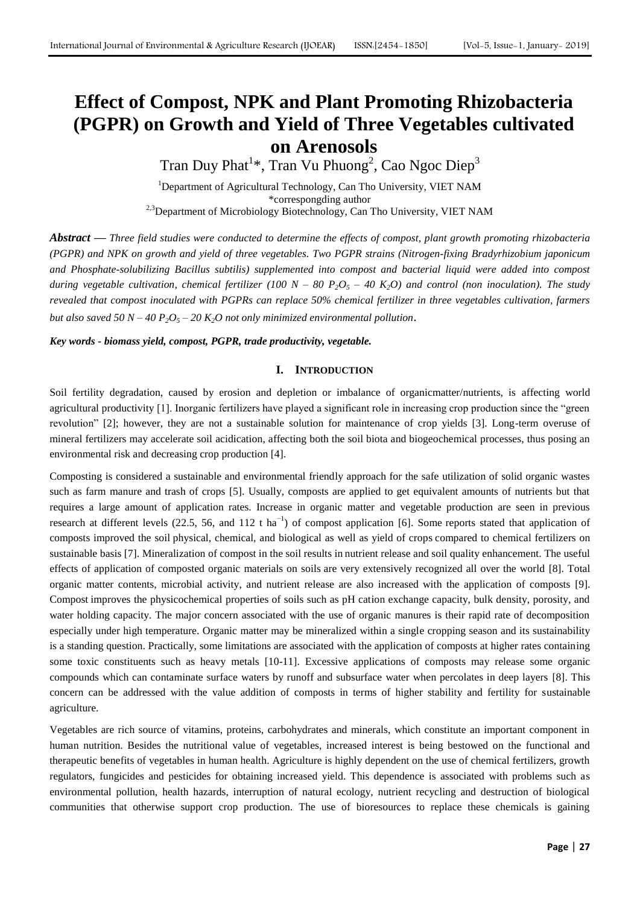# **Effect of Compost, NPK and Plant Promoting Rhizobacteria (PGPR) on Growth and Yield of Three Vegetables cultivated on Arenosols**

Tran Duy Phat<sup>1\*</sup>, Tran Vu Phuong<sup>2</sup>, Cao Ngoc Diep<sup>3</sup>

<sup>1</sup>Department of Agricultural Technology, Can Tho University, VIET NAM \*correspongding author <sup>2,3</sup>Department of Microbiology Biotechnology, Can Tho University, VIET NAM

*Abstract* **—** *Three field studies were conducted to determine the effects of compost, plant growth promoting rhizobacteria (PGPR) and NPK on growth and yield of three vegetables. Two PGPR strains (Nitrogen-fixing Bradyrhizobium japonicum and Phosphate-solubilizing Bacillus subtilis) supplemented into compost and bacterial liquid were added into compost during vegetable cultivation, chemical fertilizer* (100  $N - 80 P_2O_5 - 40 K_2O$ ) and control (non inoculation). The study *revealed that compost inoculated with PGPRs can replace 50% chemical fertilizer in three vegetables cultivation, farmers but also saved 50 N – 40 P2O<sup>5</sup> – 20 K2O not only minimized environmental pollution*.

*Key words - biomass yield, compost, PGPR, trade productivity, vegetable.*

## **I. INTRODUCTION**

Soil fertility degradation, caused by erosion and depletion or imbalance of organicmatter/nutrients, is affecting world agricultural productivity [1]. Inorganic fertilizers have played a significant role in increasing crop production since the "green revolution" [2]; however, they are not a sustainable solution for maintenance of crop yields [3]. Long-term overuse of mineral fertilizers may accelerate soil acidication, affecting both the soil biota and biogeochemical processes, thus posing an environmental risk and decreasing crop production [4].

Composting is considered a sustainable and environmental friendly approach for the safe utilization of solid organic wastes such as farm manure and trash of crops [5]. Usually, composts are applied to get equivalent amounts of nutrients but that requires a large amount of application rates. Increase in organic matter and vegetable production are seen in previous research at different levels (22.5, 56, and 112 t ha<sup>-1</sup>) of compost application [6]. Some reports stated that application of composts improved the soil physical, chemical, and biological as well as yield of crops compared to chemical fertilizers on sustainable basis [7]. Mineralization of compost in the soil results in nutrient release and soil quality enhancement. The useful effects of application of composted organic materials on soils are very extensively recognized all over the world [8]. Total organic matter contents, microbial activity, and nutrient release are also increased with the application of composts [9]. Compost improves the physicochemical properties of soils such as pH cation exchange capacity, bulk density, porosity, and water holding capacity. The major concern associated with the use of organic manures is their rapid rate of decomposition especially under high temperature. Organic matter may be mineralized within a single cropping season and its sustainability is a standing question. Practically, some limitations are associated with the application of composts at higher rates containing some toxic constituents such as heavy metals [10-11]. Excessive applications of composts may release some organic compounds which can contaminate surface waters by runoff and subsurface water when percolates in deep layers [8]. This concern can be addressed with the value addition of composts in terms of higher stability and fertility for sustainable agriculture.

Vegetables are rich source of vitamins, proteins, carbohydrates and minerals, which constitute an important component in human nutrition. Besides the nutritional value of vegetables, increased interest is being bestowed on the functional and therapeutic benefits of vegetables in human health. Agriculture is highly dependent on the use of chemical fertilizers, growth regulators, fungicides and pesticides for obtaining increased yield. This dependence is associated with problems such as environmental pollution, health hazards, interruption of natural ecology, nutrient recycling and destruction of biological communities that otherwise support crop production. The use of bioresources to replace these chemicals is gaining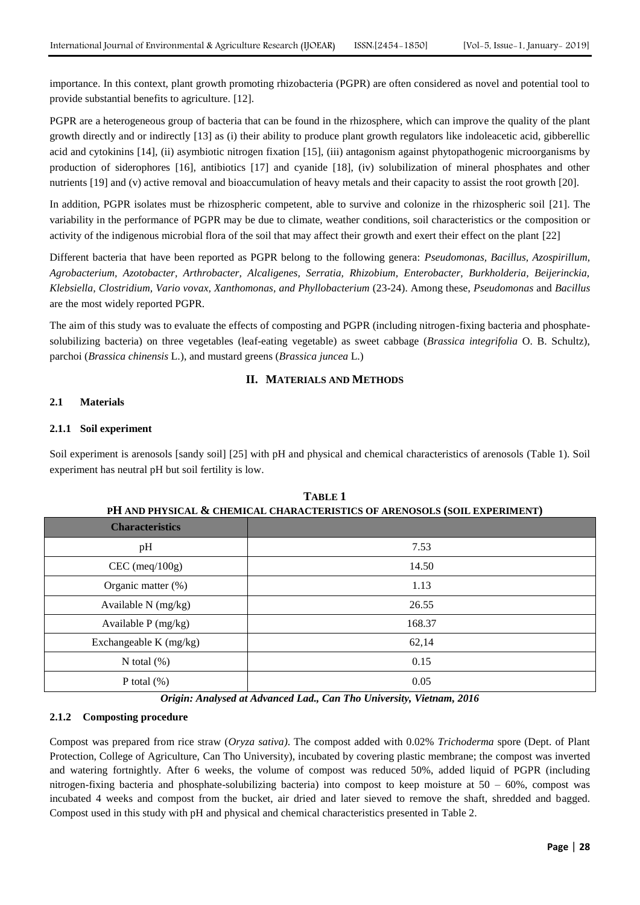importance. In this context, plant growth promoting rhizobacteria (PGPR) are often considered as novel and potential tool to provide substantial benefits to agriculture. [12].

PGPR are a heterogeneous group of bacteria that can be found in the rhizosphere, which can improve the quality of the plant growth directly and or indirectly [13] as (i) their ability to produce plant growth regulators like indoleacetic acid, gibberellic acid and cytokinins [14], (ii) asymbiotic nitrogen fixation [15], (iii) antagonism against phytopathogenic microorganisms by production of siderophores [16], antibiotics [17] and cyanide [18], (iv) solubilization of mineral phosphates and other nutrients [19] and (v) active removal and bioaccumulation of heavy metals and their capacity to assist the root growth [20].

In addition, PGPR isolates must be rhizospheric competent, able to survive and colonize in the rhizospheric soil [21]. The variability in the performance of PGPR may be due to climate, weather conditions, soil characteristics or the composition or activity of the indigenous microbial flora of the soil that may affect their growth and exert their effect on the plant [22]

Different bacteria that have been reported as PGPR belong to the following genera: *Pseudomonas, Bacillus, Azospirillum, Agrobacterium, Azotobacter, Arthrobacter, Alcaligenes, Serratia, Rhizobium, Enterobacter, Burkholderia, Beijerinckia, Klebsiella, Clostridium, Vario vovax, Xanthomonas, and Phyllobacterium* (23-24). Among these, *Pseudomonas* and *Bacillus* are the most widely reported PGPR.

The aim of this study was to evaluate the effects of composting and PGPR (including nitrogen-fixing bacteria and phosphatesolubilizing bacteria) on three vegetables (leaf-eating vegetable) as sweet cabbage (*Brassica integrifolia* O. B. Schultz), parchoi (*Brassica chinensis* L.), and mustard greens (*Brassica juncea* L.)

## **II. MATERIALS AND METHODS**

## **2.1 Materials**

## **2.1.1 Soil experiment**

Soil experiment is arenosols [sandy soil] [25] with pH and physical and chemical characteristics of arenosols (Table 1). Soil experiment has neutral pH but soil fertility is low.

| <u>FII AND FIITSICAL W CHEMICAL CHANACTENISTICS OF ANEWSOLS (SOIL EXFENIMENT)</u> |        |  |  |  |  |
|-----------------------------------------------------------------------------------|--------|--|--|--|--|
| <b>Characteristics</b>                                                            |        |  |  |  |  |
| pH                                                                                | 7.53   |  |  |  |  |
| $CEC$ (meq/100g)                                                                  | 14.50  |  |  |  |  |
| Organic matter $(\%)$                                                             | 1.13   |  |  |  |  |
| Available N (mg/kg)                                                               | 26.55  |  |  |  |  |
| Available $P$ (mg/kg)                                                             | 168.37 |  |  |  |  |
| Exchangeable K (mg/kg)                                                            | 62,14  |  |  |  |  |
| N total $(\%)$                                                                    | 0.15   |  |  |  |  |
| P total $(\%)$                                                                    | 0.05   |  |  |  |  |

**TABLE 1 PH AND PHYSICAL & CHEMICAL CHARACTERISTICS OF ARENOSOLS (SOIL EXPERIMENT)**

*Origin: Analysed at Advanced Lad., Can Tho University, Vietnam, 2016*

## **2.1.2 Composting procedure**

Compost was prepared from rice straw (*Oryza sativa)*. The compost added with 0.02% *Trichoderma* spore (Dept. of Plant Protection, College of Agriculture, Can Tho University), incubated by covering plastic membrane; the compost was inverted and watering fortnightly. After 6 weeks, the volume of compost was reduced 50%, added liquid of PGPR (including nitrogen-fixing bacteria and phosphate-solubilizing bacteria) into compost to keep moisture at 50 – 60%, compost was incubated 4 weeks and compost from the bucket, air dried and later sieved to remove the shaft, shredded and bagged. Compost used in this study with pH and physical and chemical characteristics presented in Table 2.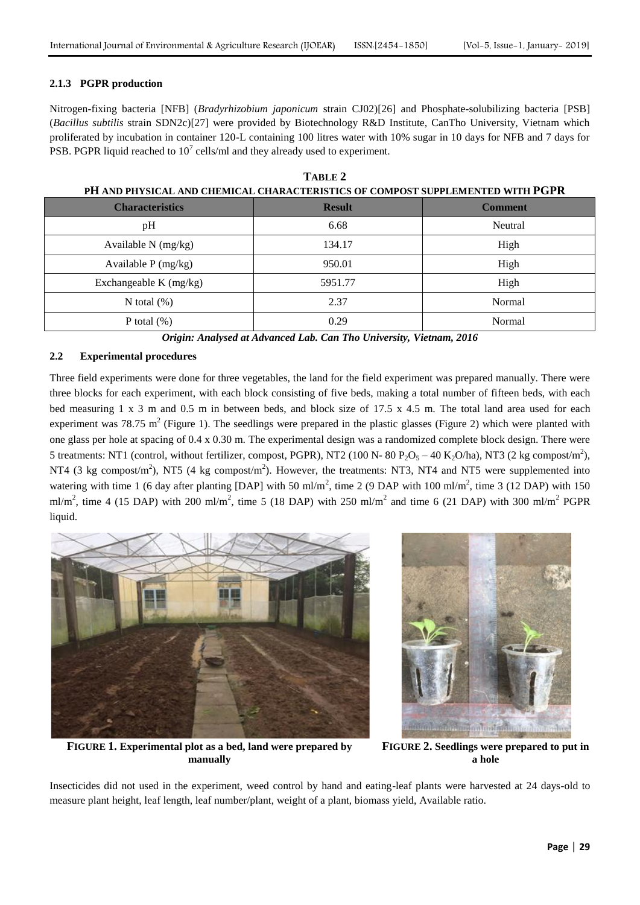## **2.1.3 PGPR production**

Nitrogen-fixing bacteria [NFB] (*Bradyrhizobium japonicum* strain CJ02)[26] and Phosphate-solubilizing bacteria [PSB] (*Bacillus subtilis* strain SDN2c)[27] were provided by Biotechnology R&D Institute, CanTho University, Vietnam which proliferated by incubation in container 120-L containing 100 litres water with 10% sugar in 10 days for NFB and 7 days for PSB. PGPR liquid reached to  $10^7$  cells/ml and they already used to experiment.

| PH AND PHYSICAL AND CHEMICAL CHARACTERISTICS OF COMPOST SUPPLEMENTED WITH PGPR |               |                |  |  |  |  |  |
|--------------------------------------------------------------------------------|---------------|----------------|--|--|--|--|--|
| <b>Characteristics</b>                                                         | <b>Result</b> | <b>Comment</b> |  |  |  |  |  |
| pH                                                                             | 6.68          | Neutral        |  |  |  |  |  |
| Available $N$ (mg/kg)                                                          | 134.17        | High           |  |  |  |  |  |
| Available $P$ (mg/kg)                                                          | 950.01        | High           |  |  |  |  |  |
| Exchangeable K (mg/kg)                                                         | 5951.77       | High           |  |  |  |  |  |
| N total $(\%)$                                                                 | 2.37          | Normal         |  |  |  |  |  |
| P total $(\%)$                                                                 | 0.29          | Normal         |  |  |  |  |  |

**TABLE 2**

*Origin: Analysed at Advanced Lab. Can Tho University, Vietnam, 2016*

## **2.2 Experimental procedures**

Three field experiments were done for three vegetables, the land for the field experiment was prepared manually. There were three blocks for each experiment, with each block consisting of five beds, making a total number of fifteen beds, with each bed measuring 1 x 3 m and 0.5 m in between beds, and block size of 17.5 x 4.5 m. The total land area used for each experiment was 78.75 m<sup>2</sup> (Figure 1). The seedlings were prepared in the plastic glasses (Figure 2) which were planted with one glass per hole at spacing of 0.4 x 0.30 m. The experimental design was a randomized complete block design. There were 5 treatments: NT1 (control, without fertilizer, compost, PGPR), NT2 (100 N- 80  $P_2O_5 - 40 K_2O/ha$ ), NT3 (2 kg compost/m<sup>2</sup>), NT4 (3 kg compost/m<sup>2</sup>), NT5 (4 kg compost/m<sup>2</sup>). However, the treatments: NT3, NT4 and NT5 were supplemented into watering with time 1 (6 day after planting [DAP] with 50 ml/m<sup>2</sup>, time 2 (9 DAP with 100 ml/m<sup>2</sup>, time 3 (12 DAP) with 150 ml/m<sup>2</sup>, time 4 (15 DAP) with 200 ml/m<sup>2</sup>, time 5 (18 DAP) with 250 ml/m<sup>2</sup> and time 6 (21 DAP) with 300 ml/m<sup>2</sup> PGPR liquid.





**FIGURE 1. Experimental plot as a bed, land were prepared by manually**

**FIGURE 2. Seedlings were prepared to put in a hole**

Insecticides did not used in the experiment, weed control by hand and eating-leaf plants were harvested at 24 days-old to measure plant height, leaf length, leaf number/plant, weight of a plant, biomass yield, Available ratio.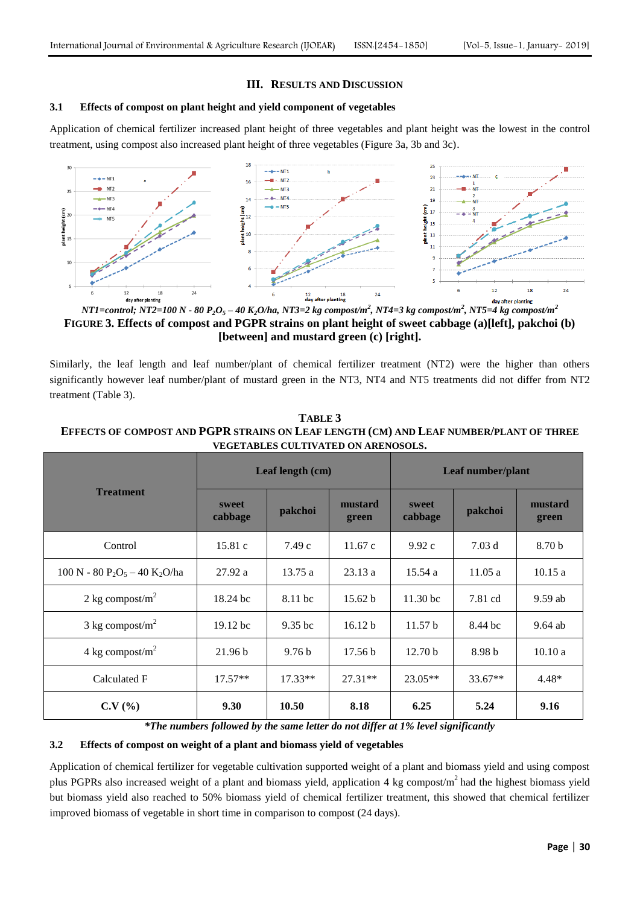## **III. RESULTS AND DISCUSSION**

#### **3.1 Effects of compost on plant height and yield component of vegetables**

Application of chemical fertilizer increased plant height of three vegetables and plant height was the lowest in the control treatment, using compost also increased plant height of three vegetables (Figure 3a, 3b and 3c).



*NT1=control; NT2=100 N - 80 P2O<sup>5</sup> – 40 K2O/ha, NT3=2 kg compost/m<sup>2</sup> , NT4=3 kg compost/m<sup>2</sup> , NT5=4 kg compost/m 2* **FIGURE 3. Effects of compost and PGPR strains on plant height of sweet cabbage (a)[left], pakchoi (b) [between] and mustard green (c) [right].**

Similarly, the leaf length and leaf number/plant of chemical fertilizer treatment (NT2) were the higher than others significantly however leaf number/plant of mustard green in the NT3, NT4 and NT5 treatments did not differ from NT2 treatment (Table 3).

|                                                                   |                  | Leaf length (cm)  |                                      | Leaf number/plant   |           |                   |  |
|-------------------------------------------------------------------|------------------|-------------------|--------------------------------------|---------------------|-----------|-------------------|--|
| <b>Treatment</b>                                                  | sweet<br>cabbage | pakchoi           | mustard<br>sweet<br>cabbage<br>green |                     | pakchoi   | mustard<br>green  |  |
| Control                                                           | 15.81c           | 7.49c             | 11.67c                               | 9.92c               | 7.03d     | 8.70 <sub>b</sub> |  |
| 100 N - 80 P <sub>2</sub> O <sub>5</sub> - 40 K <sub>2</sub> O/ha | 27.92a           | 13.75a            | 23.13a                               | 15.54 a             | 11.05a    | 10.15a            |  |
| 2 kg compost/ $m2$                                                | 18.24 bc         | 8.11 bc           | 15.62 b                              | 11.30 <sub>bc</sub> | 7.81 cd   | $9.59$ ab         |  |
| $3 \text{ kg compost/m}^2$                                        | $19.12$ bc       | $9.35$ bc         | 16.12 b                              | 11.57 <sub>b</sub>  | 8.44 bc   | $9.64$ ab         |  |
| 4 kg compost/ $m2$                                                | 21.96 b          | 9.76 <sub>b</sub> | 17.56 <sub>b</sub>                   | 12.70 <sub>b</sub>  | 8.98 b    | 10.10a            |  |
| Calculated F                                                      | $17.57**$        | $17.33**$         | $27.31**$                            | $23.05**$           | $33.67**$ | $4.48*$           |  |
| C.V(%)                                                            | 9.30             | 10.50             | 8.18                                 | 6.25                | 5.24      | 9.16              |  |

**TABLE 3 EFFECTS OF COMPOST AND PGPR STRAINS ON LEAF LENGTH (CM) AND LEAF NUMBER/PLANT OF THREE VEGETABLES CULTIVATED ON ARENOSOLS.**

*\*The numbers followed by the same letter do not differ at 1% level significantly*

## **3.2 Effects of compost on weight of a plant and biomass yield of vegetables**

Application of chemical fertilizer for vegetable cultivation supported weight of a plant and biomass yield and using compost plus PGPRs also increased weight of a plant and biomass yield, application 4 kg compost/m<sup>2</sup>had the highest biomass yield but biomass yield also reached to 50% biomass yield of chemical fertilizer treatment, this showed that chemical fertilizer improved biomass of vegetable in short time in comparison to compost (24 days).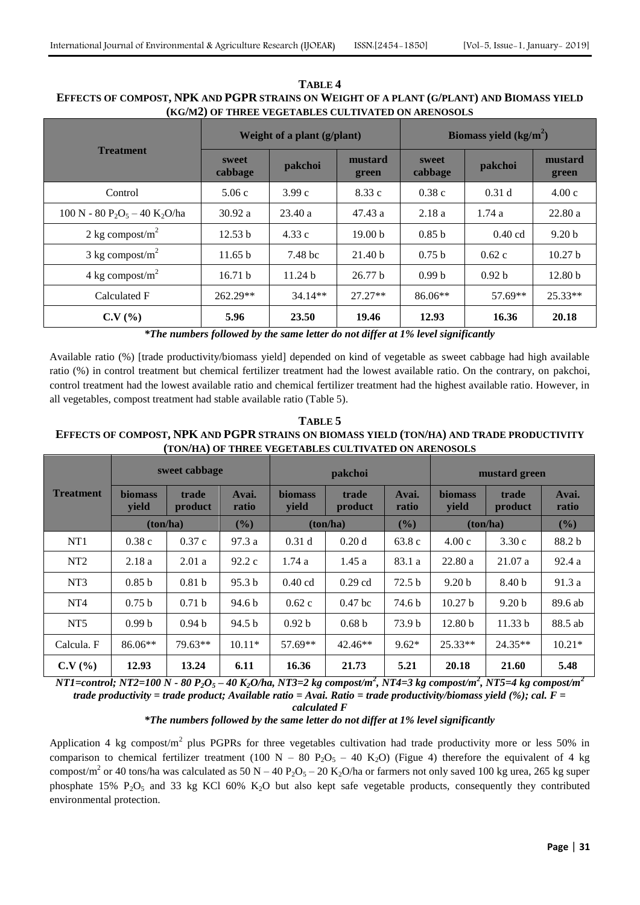| TABLE 4                                                                                   |
|-------------------------------------------------------------------------------------------|
| EFFECTS OF COMPOST, NPK AND PGPR STRAINS ON WEIGHT OF A PLANT (G/PLANT) AND BIOMASS YIELD |
| (KG/M2) OF THREE VEGETABLES CULTIVATED ON ARENOSOLS                                       |

|                                                                   |                  | Weight of a plant (g/plant) |                    | Biomass yield $(kg/m2)$     |                   |                    |  |
|-------------------------------------------------------------------|------------------|-----------------------------|--------------------|-----------------------------|-------------------|--------------------|--|
| <b>Treatment</b>                                                  | sweet<br>cabbage | mustard<br>pakchoi<br>green |                    | sweet<br>pakchoi<br>cabbage |                   | mustard<br>green   |  |
| Control                                                           | 5.06c            | 3.99c                       | 8.33 c             | 0.38c                       | 0.31 <sub>d</sub> | 4.00c              |  |
| 100 N - 80 P <sub>2</sub> O <sub>5</sub> - 40 K <sub>2</sub> O/ha | 30.92 a          | 23.40a                      | 47.43a             | 2.18 a                      | 1.74a             | 22.80a             |  |
| 2 kg compost/ $m2$                                                | 12.53 b          | 4.33 c                      | 19.00 <sub>b</sub> | 0.85 <sub>b</sub>           | $0.40$ cd         | 9.20 <sub>b</sub>  |  |
| $3 \text{ kg compost/m}^2$                                        | 11.65 b          | 7.48 bc                     | 21.40 <sub>b</sub> | 0.75 <sub>b</sub>           | 0.62c             | 10.27 <sub>b</sub> |  |
| 4 kg compost/ $m^2$                                               | 16.71 b          | 11.24 <sub>b</sub>          | 26.77 h            | 0.99 <sub>b</sub>           | 0.92 <sub>b</sub> | 12.80 <sub>b</sub> |  |
| Calculated F                                                      | 262.29**         | $34.14**$                   | $27.27**$          | $86.06**$                   | 57.69**           | $25.33**$          |  |
| C.V(%)                                                            | 5.96             | 23.50                       | 19.46              | 12.93                       | 16.36             | 20.18              |  |

*\*The numbers followed by the same letter do not differ at 1% level significantly*

Available ratio (%) [trade productivity/biomass yield] depended on kind of vegetable as sweet cabbage had high available ratio (%) in control treatment but chemical fertilizer treatment had the lowest available ratio. On the contrary, on pakchoi, control treatment had the lowest available ratio and chemical fertilizer treatment had the highest available ratio. However, in all vegetables, compost treatment had stable available ratio (Table 5).

**TABLE 5 EFFECTS OF COMPOST, NPK AND PGPR STRAINS ON BIOMASS YIELD (TON/HA) AND TRADE PRODUCTIVITY (TON/HA) OF THREE VEGETABLES CULTIVATED ON ARENOSOLS**

|                 | sweet cabbage           |                   |                   | <b>pakchoi</b>          |                   |                   | mustard green           |                   |                |
|-----------------|-------------------------|-------------------|-------------------|-------------------------|-------------------|-------------------|-------------------------|-------------------|----------------|
| Treatment       | <b>biomass</b><br>yield | trade<br>product  | Avai.<br>ratio    | <b>biomass</b><br>yield | trade<br>product  | Avai.<br>ratio    | <b>biomass</b><br>yield | trade<br>product  | Avai.<br>ratio |
|                 | ton/ha)                 |                   | (%)               |                         | (%)<br>(ton/ha)   |                   | (ton/ha)                |                   | (%)            |
| NT1             | 0.38c                   | 0.37c             | 97.3a             | 0.31 <sub>d</sub>       | 0.20d             | 63.8c             | 4.00c                   | 3.30c             | 88.2 b         |
| NT <sub>2</sub> | 2.18a                   | 2.01a             | 92.2c             | 1.74a                   | 1.45a             | 83.1 a            | 22.80a                  | 21.07a            | 92.4a          |
| NT <sub>3</sub> | 0.85 <sub>b</sub>       | 0.81 <sub>b</sub> | 95.3 <sub>b</sub> | $0.40$ cd               | $0.29$ cd         | 72.5 <sub>b</sub> | 9.20 <sub>b</sub>       | 8.40 <sub>b</sub> | 91.3 a         |
| NT <sub>4</sub> | 0.75 <sub>b</sub>       | 0.71 <sub>b</sub> | 94.6 <sub>b</sub> | 0.62c                   | $0.47$ bc         | 74.6 b            | 10.27 <sub>b</sub>      | 9.20 <sub>b</sub> | 89.6 ab        |
| NT <sub>5</sub> | 0.99 <sub>b</sub>       | 0.94 <sub>b</sub> | 94.5 <sub>b</sub> | 0.92 <sub>b</sub>       | 0.68 <sub>b</sub> | 73.9 b            | 12.80 <sub>b</sub>      | 11.33 b           | 88.5 ab        |
| Calcula. F      | $86.06**$               | 79.63**           | $10.11*$          | 57.69**                 | $42.46**$         | $9.62*$           | $25.33**$               | $24.35**$         | $10.21*$       |
| C.V(%)          | 12.93                   | 13.24             | 6.11              | 16.36                   | 21.73             | 5.21              | 20.18                   | 21.60             | 5.48           |

*NT1=control; NT2=100 N - 80 P2O<sup>5</sup> – 40 K2O/ha, NT3=2 kg compost/m<sup>2</sup> , NT4=3 kg compost/m<sup>2</sup> , NT5=4 kg compost/m<sup>2</sup> trade productivity = trade product; Available ratio = Avai. Ratio = trade productivity/biomass yield (%); cal. F =* 

*calculated F*

## *\*The numbers followed by the same letter do not differ at 1% level significantly*

Application 4 kg compost/ $m^2$  plus PGPRs for three vegetables cultivation had trade productivity more or less 50% in comparison to chemical fertilizer treatment (100 N – 80 P<sub>2</sub>O<sub>5</sub> – 40 K<sub>2</sub>O) (Figue 4) therefore the equivalent of 4 kg compost/m<sup>2</sup> or 40 tons/ha was calculated as 50 N – 40 P<sub>2</sub>O<sub>5</sub> – 20 K<sub>2</sub>O/ha or farmers not only saved 100 kg urea, 265 kg super phosphate 15%  $P_2O_5$  and 33 kg KCl 60% K<sub>2</sub>O but also kept safe vegetable products, consequently they contributed environmental protection.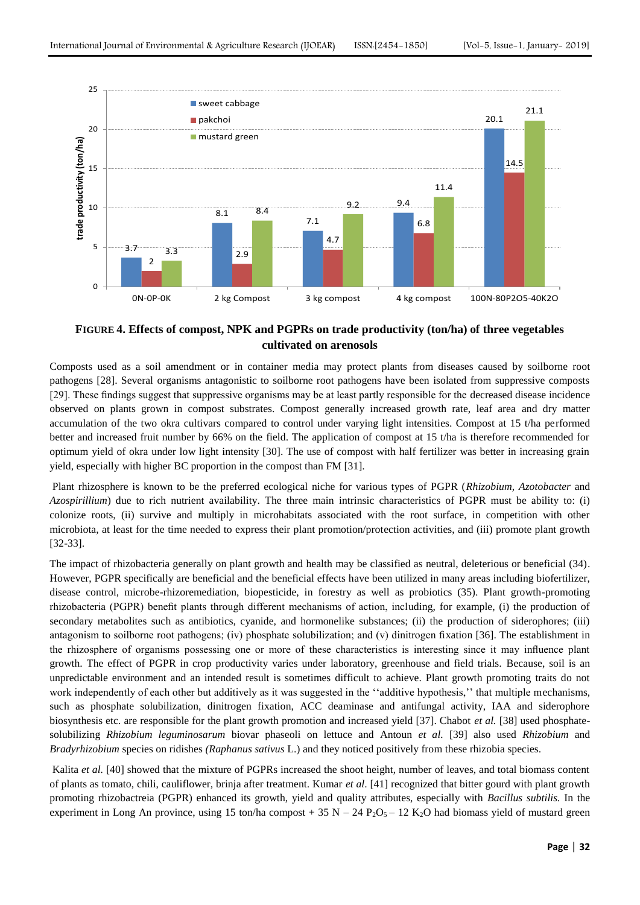

# **FIGURE 4. Effects of compost, NPK and PGPRs on trade productivity (ton/ha) of three vegetables cultivated on arenosols**

Composts used as a soil amendment or in container media may protect plants from diseases caused by soilborne root pathogens [28]. Several organisms antagonistic to soilborne root pathogens have been isolated from suppressive composts [29]. These findings suggest that suppressive organisms may be at least partly responsible for the decreased disease incidence observed on plants grown in compost substrates. Compost generally increased growth rate, leaf area and dry matter accumulation of the two okra cultivars compared to control under varying light intensities. Compost at 15 t/ha performed better and increased fruit number by 66% on the field. The application of compost at 15 t/ha is therefore recommended for optimum yield of okra under low light intensity [30]. The use of compost with half fertilizer was better in increasing grain yield, especially with higher BC proportion in the compost than FM [31].

Plant rhizosphere is known to be the preferred ecological niche for various types of PGPR (*Rhizobium, Azotobacter* and *Azospirillium*) due to rich nutrient availability. The three main intrinsic characteristics of PGPR must be ability to: (i) colonize roots, (ii) survive and multiply in microhabitats associated with the root surface, in competition with other microbiota, at least for the time needed to express their plant promotion/protection activities, and (iii) promote plant growth [32-33].

The impact of rhizobacteria generally on plant growth and health may be classified as neutral, deleterious or beneficial (34). However, PGPR specifically are beneficial and the beneficial effects have been utilized in many areas including biofertilizer, disease control, microbe-rhizoremediation, biopesticide, in forestry as well as probiotics (35). Plant growth-promoting rhizobacteria (PGPR) benefit plants through different mechanisms of action, including, for example, (i) the production of secondary metabolites such as antibiotics, cyanide, and hormonelike substances; (ii) the production of siderophores; (iii) antagonism to soilborne root pathogens; (iv) phosphate solubilization; and (v) dinitrogen fixation [36]. The establishment in the rhizosphere of organisms possessing one or more of these characteristics is interesting since it may influence plant growth. The effect of PGPR in crop productivity varies under laboratory, greenhouse and field trials. Because, soil is an unpredictable environment and an intended result is sometimes difficult to achieve. Plant growth promoting traits do not work independently of each other but additively as it was suggested in the "additive hypothesis," that multiple mechanisms, such as phosphate solubilization, dinitrogen fixation, ACC deaminase and antifungal activity, IAA and siderophore biosynthesis etc. are responsible for the plant growth promotion and increased yield [37]. Chabot *et al.* [38] used phosphatesolubilizing *Rhizobium leguminosarum* biovar phaseoli on lettuce and Antoun *et al.* [39] also used *Rhizobium* and *Bradyrhizobium* species on ridishes *(Raphanus sativus* L.) and they noticed positively from these rhizobia species.

Kalita *et al.* [40] showed that the mixture of PGPRs increased the shoot height, number of leaves, and total biomass content of plants as tomato, chili, cauliflower, brinja after treatment. Kumar *et al*. [41] recognized that bitter gourd with plant growth promoting rhizobactreia (PGPR) enhanced its growth, yield and quality attributes, especially with *Bacillus subtilis.* In the experiment in Long An province, using 15 ton/ha compost + 35 N – 24 P<sub>2</sub>O<sub>5</sub> – 12 K<sub>2</sub>O had biomass yield of mustard green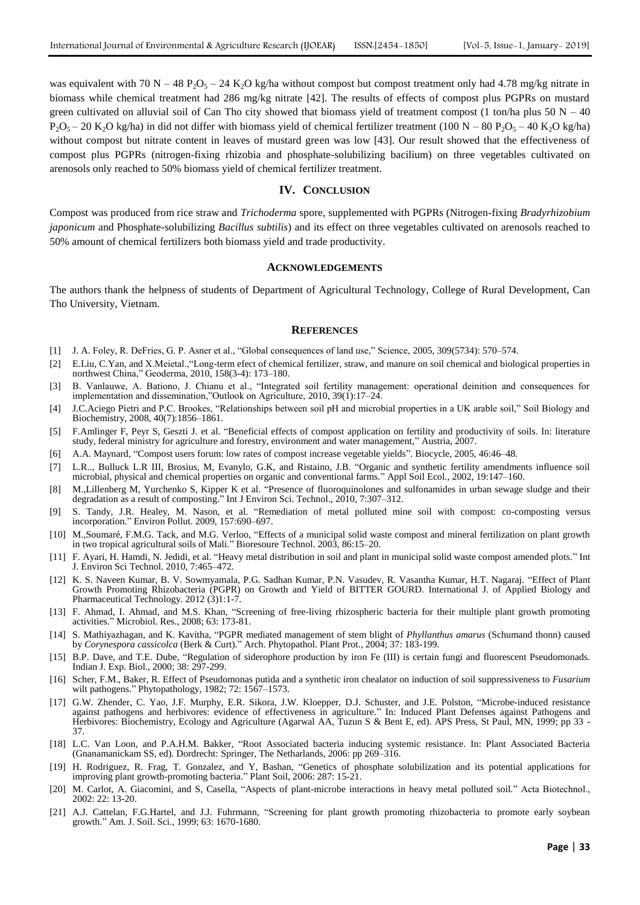was equivalent with 70 N – 48 P<sub>2</sub>O<sub>5</sub> – 24 K<sub>2</sub>O kg/ha without compost but compost treatment only had 4.78 mg/kg nitrate in biomass while chemical treatment had 286 mg/kg nitrate [42]. The results of effects of compost plus PGPRs on mustard green cultivated on alluvial soil of Can Tho city showed that biomass yield of treatment compost (1 ton/ha plus 50  $N - 40$ )  $P_2O_5 - 20$  K<sub>2</sub>O kg/ha) in did not differ with biomass yield of chemical fertilizer treatment (100 N – 80 P<sub>2</sub>O<sub>5</sub> – 40 K<sub>2</sub>O kg/ha) without compost but nitrate content in leaves of mustard green was low [43]. Our result showed that the effectiveness of compost plus PGPRs (nitrogen-fixing rhizobia and phosphate-solubilizing bacilium) on three vegetables cultivated on arenosols only reached to 50% biomass yield of chemical fertilizer treatment.

#### **IV. CONCLUSION**

Compost was produced from rice straw and *Trichoderma* spore, supplemented with PGPRs (Nitrogen-fixing *Bradyrhizobium japonicum* and Phosphate-solubilizing *Bacillus subtilis*) and its effect on three vegetables cultivated on arenosols reached to 50% amount of chemical fertilizers both biomass yield and trade productivity.

#### **ACKNOWLEDGEMENTS**

The authors thank the helpness of students of Department of Agricultural Technology, College of Rural Development, Can Tho University, Vietnam.

#### **REFERENCES**

- [1] J. A. Foley, R. DeFries, G. P. Asner et al., "Global consequences of land use," Science, 2005, 309(5734): 570–574.
- [2] E.Liu, C.Yan, and X.Meietal.,"Long-term efect of chemical fertilizer, straw, and manure on soil chemical and biological properties in northwest China," Geoderma, 2010, 158(3-4): 173–180.
- [3] B. Vanlauwe, A. Bationo, J. Chianu et al., "Integrated soil fertility management: operational deinition and consequences for implementation and dissemination,"Outlook on Agriculture, 2010, 39(1):17–24.
- [4] J.C.Aciego Pietri and P.C. Brookes, "Relationships between soil pH and microbial properties in a UK arable soil," Soil Biology and Biochemistry, 2008, 40(7):1856–1861.
- [5] F.Amlinger F, Peyr S, Geszti J. et al. "Beneficial effects of compost application on fertility and productivity of soils. In: literature study, federal ministry for agriculture and forestry, environment and water management," Austria, 2007.
- [6] A.A. Maynard, "Compost users forum: low rates of compost increase vegetable yields". Biocycle, 2005, 46:46–48.
- [7] L.R.., Bulluck L.R III, Brosius, M, Evanylo, G.K, and Ristaino, J.B. "Organic and synthetic fertility amendments influence soil microbial, physical and chemical properties on organic and conventional farms." Appl Soil Ecol., 2002, 19:147–160.
- [8] M.,Lillenberg M, Yurchenko S, Kipper K et al. "Presence of fluoroquinolones and sulfonamides in urban sewage sludge and their degradation as a result of composting." Int J Environ Sci. Technol., 2010, 7:307–312.
- [9] S. Tandy, J.R. Healey, M. Nason, et al. "Remediation of metal polluted mine soil with compost: co-composting versus incorporation." Environ Pollut. 2009, 157:690–697.
- [10] M.,Soumaré, F.M.G. Tack, and M.G. Verloo, "Effects of a municipal solid waste compost and mineral fertilization on plant growth in two tropical agricultural soils of Mali." Bioresoure Technol. 2003, 86:15–20.
- [11] F. Ayari, H. Hamdi, N. Jedidi, et al. "Heavy metal distribution in soil and plant in municipal solid waste compost amended plots." Int J. Environ Sci Technol. 2010, 7:465–472.
- [12] K. S. Naveen Kumar, B. V. Sowmyamala, P.G. Sadhan Kumar, P.N. Vasudev, R. Vasantha Kumar, H.T. Nagaraj. "Effect of Plant Growth Promoting Rhizobacteria (PGPR) on Growth and Yield of BITTER GOURD. International J. of Applied Biology and Pharmaceutical Technology. 2012 (3)1:1-7.
- [13] F. Ahmad, I. Ahmad, and M.S. Khan, "Screening of free-living rhizospheric bacteria for their multiple plant growth promoting activities." Microbiol. Res., 2008; 63: 173-81.
- [14] S. Mathiyazhagan, and K. Kavitha, "PGPR mediated management of stem blight of *Phyllanthus amarus* (Schumand thonn) caused by *Corynespora cassicolca* (Berk & Curt)." Arch. Phytopathol. Plant Prot., 2004; 37: 183-199.
- [15] B.P. Dave, and T.E. Dube, "Regulation of siderophore production by iron Fe (III) is certain fungi and fluorescent Pseudomonads. Indian J. Exp. Biol., 2000; 38: 297-299.
- [16] Scher, F.M., Baker, R. Effect of Pseudomonas putida and a synthetic iron chealator on induction of soil suppressiveness to *Fusarium* wilt pathogens." Phytopathology, 1982; 72: 1567–1573.
- [17] G.W. Zhender, C. Yao, J.F. Murphy, E.R. Sikora, J.W. Kloepper, D.J. Schuster, and J.E. Polston, "Microbe-induced resistance against pathogens and herbivores: evidence of effectiveness in agriculture." In: Induced Plant Defenses against Pathogens and Herbivores: Biochemistry, Ecology and Agriculture (Agarwal AA, Tuzun S & Bent E, ed). APS Press, St Paul, MN, 1999; pp 33 - 37.
- [18] L.C. Van Loon, and P.A.H.M. Bakker, "Root Associated bacteria inducing systemic resistance. In: Plant Associated Bacteria (Gnanamanickam SS, ed). Dordrecht: Springer, The Netharlands, 2006: pp 269–316.
- [19] H. Rodriguez, R. Frag, T. Gonzalez, and Y, Bashan, "Genetics of phosphate solubilization and its potential applications for improving plant growth-promoting bacteria." Plant Soil, 2006: 287: 15-21.
- [20] M. Carlot, A. Giacomini, and S, Casella, "Aspects of plant-microbe interactions in heavy metal polluted soil." Acta Biotechnol., 2002: 22: 13-20.
- [21] A.J. Cattelan, F.G.Hartel, and J.J. Fuhrmann, "Screening for plant growth promoting rhizobacteria to promote early soybean growth." Am. J. Soil. Sci., 1999; 63: 1670-1680.